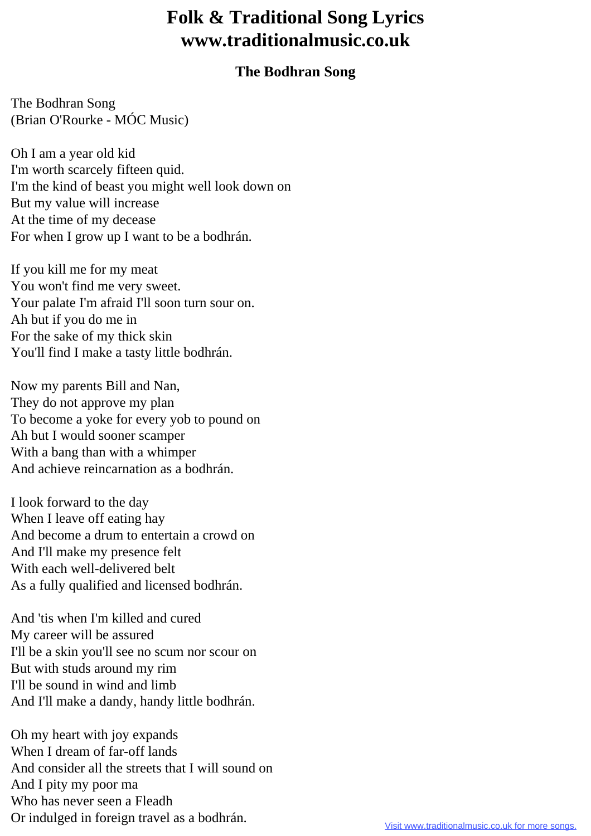## **Folk & Traditional Song Lyrics www.traditionalmusic.co.uk**

## **The Bodhran Song**

The Bodhran Song (Brian O'Rourke - MÓC Music)

Oh I am a year old kid I'm worth scarcely fifteen quid. I'm the kind of beast you might well look down on But my value will increase At the time of my decease For when I grow up I want to be a bodhrán.

If you kill me for my meat You won't find me very sweet. Your palate I'm afraid I'll soon turn sour on. Ah but if you do me in For the sake of my thick skin You'll find I make a tasty little bodhrán.

Now my parents Bill and Nan, They do not approve my plan To become a yoke for every yob to pound on Ah but I would sooner scamper With a bang than with a whimper And achieve reincarnation as a bodhrán.

I look forward to the day When I leave off eating hay And become a drum to entertain a crowd on And I'll make my presence felt With each well-delivered belt As a fully qualified and licensed bodhrán.

And 'tis when I'm killed and cured My career will be assured I'll be a skin you'll see no scum nor scour on But with studs around my rim I'll be sound in wind and limb And I'll make a dandy, handy little bodhrán.

Oh my heart with joy expands When I dream of far-off lands And consider all the streets that I will sound on And I pity my poor ma Who has never seen a Fleadh Or indulged in foreign travel as a bodhrán.